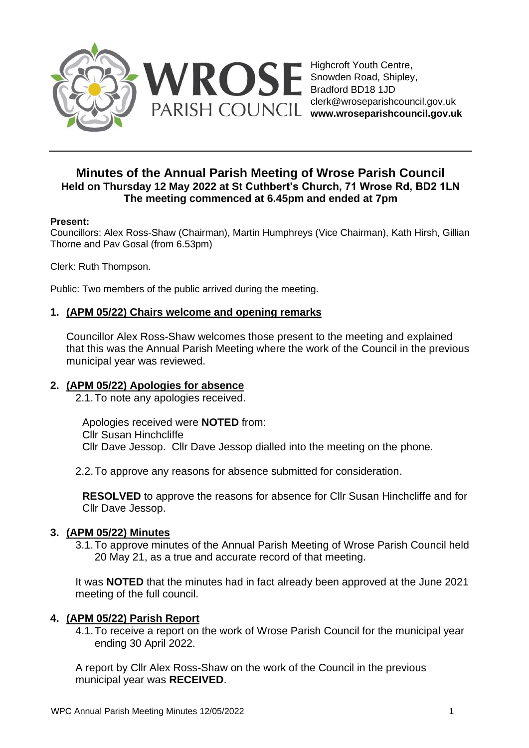

# **Minutes of the Annual Parish Meeting of Wrose Parish Council Held on Thursday 12 May 2022 at St Cuthbert's Church, 71 Wrose Rd, BD2 1LN The meeting commenced at 6.45pm and ended at 7pm**

#### **Present:**

Councillors: Alex Ross-Shaw (Chairman), Martin Humphreys (Vice Chairman), Kath Hirsh, Gillian Thorne and Pav Gosal (from 6.53pm)

Clerk: Ruth Thompson.

Public: Two members of the public arrived during the meeting.

#### **1. (APM 05/22) Chairs welcome and opening remarks**

Councillor Alex Ross-Shaw welcomes those present to the meeting and explained that this was the Annual Parish Meeting where the work of the Council in the previous municipal year was reviewed.

#### **2. (APM 05/22) Apologies for absence**

2.1.To note any apologies received.

Apologies received were **NOTED** from: Cllr Susan Hinchcliffe Cllr Dave Jessop. Cllr Dave Jessop dialled into the meeting on the phone.

2.2.To approve any reasons for absence submitted for consideration.

**RESOLVED** to approve the reasons for absence for Cllr Susan Hinchcliffe and for Cllr Dave Jessop.

#### **3. (APM 05/22) Minutes**

3.1.To approve minutes of the Annual Parish Meeting of Wrose Parish Council held 20 May 21, as a true and accurate record of that meeting.

It was **NOTED** that the minutes had in fact already been approved at the June 2021 meeting of the full council.

### **4. (APM 05/22) Parish Report**

4.1.To receive a report on the work of Wrose Parish Council for the municipal year ending 30 April 2022.

A report by Cllr Alex Ross-Shaw on the work of the Council in the previous municipal year was **RECEIVED**.